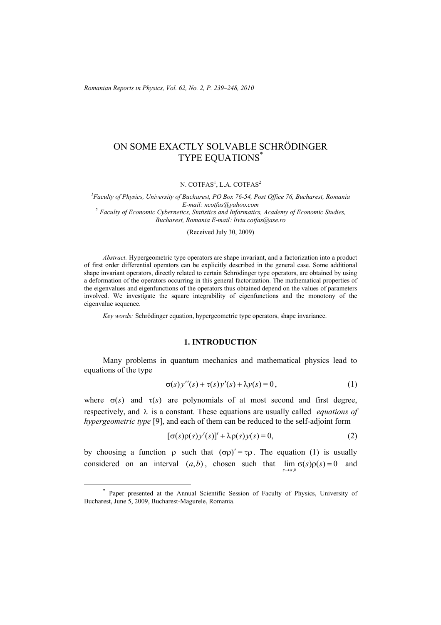*Romanian Reports in Physics, Vol. 62, No. 2, P. 239–248, 2010*

# ON SOME EXACTLY SOLVABLE SCHRÖDINGER TYPE EQUATIONS\*

#### N.  $\mathrm{COTFAS}^1$ , L.A.  $\mathrm{COTFAS}^2$

*1 Faculty of Physics, University of Bucharest, PO Box 76-54, Post Office 76, Bucharest, Romania E-mail: ncotfas@yahoo.com 2 Faculty of Economic Cybernetics, Statistics and Informatics, Academy of Economic Studies, Bucharest, Romania E-mail: liviu.cotfas@ase.ro* 

#### (Received July 30, 2009)

*Abstract.* Hypergeometric type operators are shape invariant, and a factorization into a product of first order differential operators can be explicitly described in the general case. Some additional shape invariant operators, directly related to certain Schrödinger type operators, are obtained by using a deformation of the operators occurring in this general factorization. The mathematical properties of the eigenvalues and eigenfunctions of the operators thus obtained depend on the values of parameters involved. We investigate the square integrability of eigenfunctions and the monotony of the eigenvalue sequence.

*Key words:* Schrödinger equation, hypergeometric type operators, shape invariance.

### **1. INTRODUCTION**

Many problems in quantum mechanics and mathematical physics lead to equations of the type

$$
\sigma(s)y''(s) + \tau(s)y'(s) + \lambda y(s) = 0,
$$
\n(1)

where  $\sigma(s)$  and  $\tau(s)$  are polynomials of at most second and first degree, respectively, and λ is a constant. These equations are usually called *equations of hypergeometric type* [9], and each of them can be reduced to the self-adjoint form

$$
[\sigma(s)\rho(s)y'(s)]' + \lambda \rho(s)y(s) = 0,
$$
\n(2)

by choosing a function  $\rho$  such that  $(\sigma \rho)' = \tau \rho$ . The equation (1) is usually considered on an interval  $(a,b)$ , chosen such that  $\lim_{s\to a,b} \sigma(s)\rho(s) = 0$  and  $s \rightarrow a$  *h* 

 <sup>\*</sup> Paper presented at the Annual Scientific Session of Faculty of Physics, University of Bucharest, June 5, 2009, Bucharest-Magurele, Romania.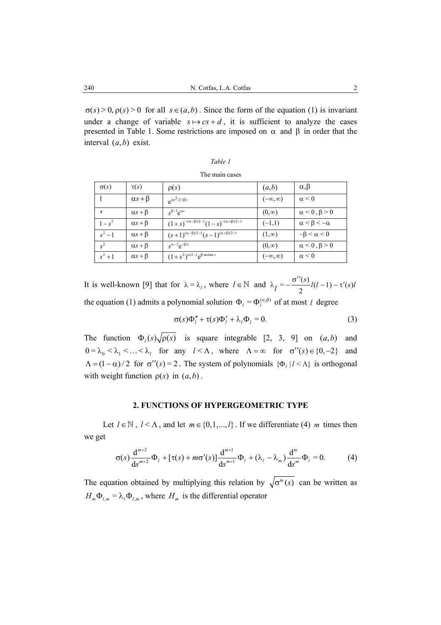$\sigma(s) > 0$ ,  $\rho(s) > 0$  for all  $s \in (a, b)$ . Since the form of the equation (1) is invariant under a change of variable  $s \mapsto cs + d$ , it is sufficient to analyze the cases presented in Table 1. Some restrictions are imposed on α and β in order that the interval  $(a, b)$  exist.

|  | The main cases |
|--|----------------|
|  |                |

| $\sigma(s)$ | $\tau(s)$          | $\rho(s)$                                                | (a,b)              | $\alpha, \beta$            |
|-------------|--------------------|----------------------------------------------------------|--------------------|----------------------------|
|             | $\alpha s + \beta$ | $e^{\alpha s^2/2+\beta s}$                               | $(-\infty,\infty)$ | $\alpha \leq 0$            |
| S           | $\alpha s + \beta$ | $s^{\beta-1}e^{\alpha s}$                                | $(0, \infty)$      | $\alpha$ < 0, $\beta$ > 0  |
| $1 - s^2$   | $\alpha s + \beta$ | $(1+s)^{-(\alpha-\beta)/2-1}(1-s)^{-(\alpha+\beta)/2-1}$ | $(-1,1)$           | $\alpha < \beta < -\alpha$ |
| $s^2-1$     | $\alpha s + \beta$ | $(s+1)^{(\alpha-\beta)/2-1}(s-1)^{(\alpha+\beta)/2-1}$   | $(1, \infty)$      | $-\beta < \alpha < 0$      |
| $s^2$       | $\alpha s + \beta$ | $s^{\alpha-2}e^{-\beta/s}$                               | $(0, \infty)$      | $\alpha$ < 0, $\beta$ > 0  |
| $s^2 + 1$   | $\alpha s + \beta$ | $(1+s^2)^{\alpha/2-1}e^{\beta \arctan s}$                | $(-\infty,\infty)$ | $\alpha \leq 0$            |

It is well-known [9] that for  $\lambda = \lambda_1$ , where  $l \in \mathbb{N}$  and  $\lambda_l = -\frac{\sigma''(s)}{2}l(l-1) - \tau'(s)l$ the equation (1) admits a polynomial solution  $\Phi_l = \Phi_l^{(\alpha,\beta)}$  of at most *l* degree

$$
\sigma(s)\Phi''_l + \tau(s)\Phi'_l + \lambda_l \Phi_l = 0.
$$
 (3)

The function  $\Phi_l(s) \sqrt{\rho(s)}$  is square integrable [2, 3, 9] on  $(a, b)$  and  $0 = \lambda_0 < \lambda_1 < ... < \lambda_l$  for any  $l < \Lambda$ , where  $\Lambda = \infty$  for  $\sigma''(s) \in \{0, -2\}$  and  $\Lambda = (1 - \alpha)/2$  for  $\sigma''(s) = 2$ . The system of polynomials  $\{\Phi_i | l \leq \Lambda\}$  is orthogonal with weight function  $\rho(s)$  in  $(a, b)$ .

#### **2. FUNCTIONS OF HYPERGEOMETRIC TYPE**

Let  $l \in \mathbb{N}$ ,  $l < \Lambda$ , and let  $m \in \{0,1,...,l\}$ . If we differentiate (4) *m* times then we get

$$
\sigma(s) \frac{d^{m+2}}{ds^{m+2}} \Phi_l + [\tau(s) + m\sigma'(s)] \frac{d^{m+1}}{ds^{m+1}} \Phi_l + (\lambda_l - \lambda_m) \frac{d^m}{ds^m} \Phi_l = 0.
$$
 (4)

The equation obtained by multiplying this relation by  $\sqrt{\sigma^m(s)}$  can be written as  $H_m \Phi_{l,m} = \lambda_l \Phi_{l,m}$ , where  $H_m$  is the differential operator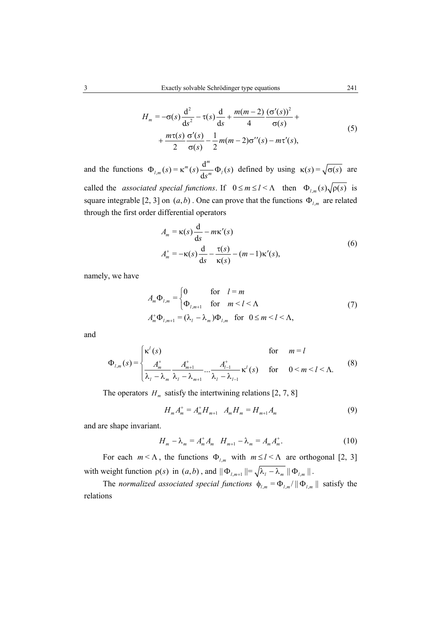$$
H_m = -\sigma(s) \frac{d^2}{ds^2} - \tau(s) \frac{d}{ds} + \frac{m(m-2)}{4} \frac{(\sigma'(s))^2}{\sigma(s)} + \frac{m\tau(s)}{2} \frac{\sigma'(s)}{\sigma(s)} - \frac{1}{2} m(m-2) \sigma''(s) - m\tau'(s),
$$
\n(5)

and the functions  $\Phi_{l,m}(s) = \kappa^m(s) \frac{d^m}{ds^m} \Phi_l(s)$  $\Phi_{t_m}(s) = \kappa^m(s) \frac{d}{ds_m} \Phi_t(s)$  defined by using  $\kappa(s) = \sqrt{\sigma(s)}$  are called the *associated special functions*. If  $0 \le m \le l < \Lambda$  then  $\Phi_{l,m}(s) \sqrt{\rho(s)}$  is square integrable [2, 3] on  $(a, b)$ . One can prove that the functions  $\Phi_{l,m}$  are related through the first order differential operators

$$
A_m = \kappa(s) \frac{d}{ds} - m\kappa'(s)
$$
  
\n
$$
A_m^+ = -\kappa(s) \frac{d}{ds} - \frac{\tau(s)}{\kappa(s)} - (m-1)\kappa'(s),
$$
\n(6)

namely, we have

$$
A_m \Phi_{l,m} = \begin{cases} 0 & \text{for} \quad l = m \\ \Phi_{l,m+1} & \text{for} \quad m < l < \Lambda \end{cases} \tag{7}
$$
\n
$$
A_m^+ \Phi_{l,m+1} = (\lambda_l - \lambda_m) \Phi_{l,m} \quad \text{for} \quad 0 \le m < l < \Lambda,
$$

and

$$
\Phi_{l,m}(s) = \begin{cases}\n\kappa^{l}(s) & \text{for } m = l \\
\frac{A_{m}^{+}}{\lambda_{l} - \lambda_{m}} \frac{A_{m+1}^{+}}{\lambda_{l} - \lambda_{m+1}} \dots \frac{A_{l-1}^{+}}{\lambda_{l} - \lambda_{l-1}} \kappa^{l}(s) & \text{for } 0 < m < l < \Lambda.\n\end{cases}
$$
\n(8)

The operators  $H_m$  satisfy the intertwining relations [2, 7, 8]

$$
H_m A_m^+ = A_m^+ H_{m+1} \quad A_m H_m = H_{m+1} A_m \tag{9}
$$

and are shape invariant.

$$
H_m - \lambda_m = A_m^+ A_m \quad H_{m+1} - \lambda_m = A_m A_m^+.
$$
 (10)

For each  $m < \Lambda$ , the functions  $\Phi_{l,m}$  with  $m \le l < \Lambda$  are orthogonal [2, 3] with weight function  $\rho(s)$  in  $(a, b)$ , and  $\|\Phi_{l,m+1}\| = \sqrt{\lambda_l - \lambda_m} \|\Phi_{l,m}\|$ .

The *normalized associated special functions*  $\phi_{l,m} = \Phi_{l,m} / || \Phi_{l,m} ||$  satisfy the relations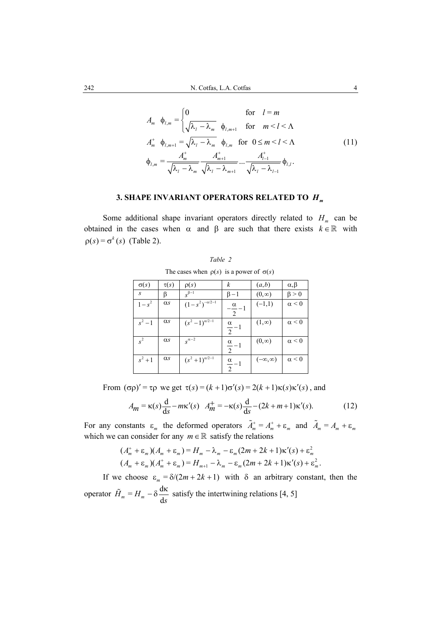$$
A_m \quad \phi_{l,m} = \begin{cases} 0 & \text{for} \quad l = m \\ \sqrt{\lambda_l - \lambda_m} \quad \phi_{l,m+1} & \text{for} \quad m < l < \Lambda \end{cases}
$$
\n
$$
A_m^+ \quad \phi_{l,m+1} = \sqrt{\lambda_l - \lambda_m} \quad \phi_{l,m} \quad \text{for} \quad 0 \le m < l < \Lambda
$$
\n
$$
\phi_{l,m} = \frac{A_m^+}{\sqrt{\lambda_l - \lambda_m}} \frac{A_{m+1}^+}{\sqrt{\lambda_l - \lambda_{m+1}}} \dots \frac{A_{l-1}^+}{\sqrt{\lambda_l - \lambda_{l-1}}} \phi_{l,l}.
$$
\n(11)

## **3. SHAPE INVARIANT OPERATORS RELATED TO** *Hm*

Some additional shape invariant operators directly related to  $H_m$  can be obtained in the cases when  $\alpha$  and  $\beta$  are such that there exists  $k \in \mathbb{R}$  with  $p(s) = \sigma^k(s)$  (Table 2).

| $\frac{1}{2}$ and $\frac{1}{2}$ is the product of $\frac{1}{2}$ |            |                         |                                 |                    |                 |
|-----------------------------------------------------------------|------------|-------------------------|---------------------------------|--------------------|-----------------|
| $\sigma(s)$                                                     | $\tau(s)$  | $\rho(s)$               | k                               | (a,b)              | $\alpha, \beta$ |
| $\mathcal{S}$                                                   | β          | $s^{\beta-1}$           | $\beta - 1$                     | $(0, \infty)$      | $\beta > 0$     |
| $1 - s^2$                                                       | $\alpha s$ | $(1-s^2)^{-\alpha/2-1}$ | $-\frac{\alpha}{\alpha}-1$<br>2 | $(-1,1)$           | $\alpha \leq 0$ |
| $s^2-1$                                                         | $\alpha s$ | $(s^2-1)^{\alpha/2-1}$  | $\frac{\alpha}{2}$ -1           | $(1, \infty)$      | $\alpha \leq 0$ |
| $s^2$                                                           | $\alpha s$ | $s^{\alpha-2}$          | $\frac{\alpha}{2}$ -1           | $(0, \infty)$      | $\alpha \leq 0$ |
| $s^2 + 1$                                                       | $\alpha s$ | $(s^2+1)^{\alpha/2-1}$  | $\frac{\alpha}{2} - 1$          | $(-\infty,\infty)$ | $\alpha \leq 0$ |

*Table 2*  The cases when  $\rho(s)$  is a power of  $\sigma(s)$ 

From  $(\sigma \rho)' = \tau \rho$  we get  $\tau(s) = (k+1)\sigma'(s) = 2(k+1)\kappa(s)\kappa'(s)$ , and

$$
A_m = \kappa(s) \frac{d}{ds} - m\kappa'(s) \quad A_m^+ = -\kappa(s) \frac{d}{ds} - (2k + m + 1)\kappa'(s). \tag{12}
$$

For any constants  $\varepsilon_m$  the deformed operators  $\tilde{A}_m^+ = A_m^+ + \varepsilon_m$  and  $\tilde{A}_m = A_m + \varepsilon_m$ which we can consider for any  $m \in \mathbb{R}$  satisfy the relations

$$
(A_m^+ + \varepsilon_m)(A_m^+ + \varepsilon_m) = H_m - \lambda_m - \varepsilon_m(2m + 2k + 1)\kappa'(s) + \varepsilon_m^2 (A_m + \varepsilon_m)(A_m^+ + \varepsilon_m) = H_{m+1} - \lambda_m - \varepsilon_m(2m + 2k + 1)\kappa'(s) + \varepsilon_m^2.
$$

If we choose  $\varepsilon_m = \delta/(2m + 2k + 1)$  with  $\delta$  an arbitrary constant, then the operator  $\tilde{H}_m = H_m - \delta \frac{d\kappa}{ds}$  satisfy the intertwining relations [4, 5]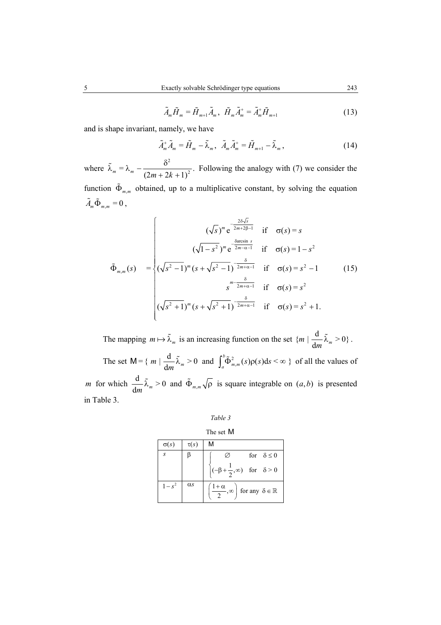$$
\tilde{A}_{m}\tilde{H}_{m} = \tilde{H}_{m+1}\tilde{A}_{m}, \ \tilde{H}_{m}\tilde{A}_{m}^{+} = \tilde{A}_{m}^{+}\tilde{H}_{m+1}
$$
\n(13)

and is shape invariant, namely, we have

$$
\tilde{A}_m^+ \tilde{A}_m = \tilde{H}_m - \tilde{\lambda}_m, \quad \tilde{A}_m \tilde{A}_m^+ = \tilde{H}_{m+1} - \tilde{\lambda}_m, \tag{14}
$$

where 2  $\lambda_m = \lambda_m - \frac{6}{(2m + 2k + 1)^2}.$  $\tilde{\lambda}_m = \lambda_m - \frac{\delta}{\sqrt{2\pi}}$  $+ 2k +$  $\tilde{\lambda}_m = \lambda_m - \frac{\delta^2}{\delta_m^2}$ . Following the analogy with (7) we consider the function  $\tilde{\Phi}_{m,m}$  obtained, up to a multiplicative constant, by solving the equation  $\tilde{A}_m \tilde{\Phi}_{m,m} = 0$ ,

$$
\tilde{\Phi}_{m,m}(s) = \begin{cases}\n(\sqrt{s})^m e^{-\frac{2\delta\sqrt{s}}{2m+2\beta-1}} & \text{if } \sigma(s) = s \\
(\sqrt{1-s^2})^m e^{-\frac{\delta}{2m-\alpha-1}} & \text{if } \sigma(s) = 1-s^2 \\
(\sqrt{s^2-1})^m (s + \sqrt{s^2-1})^{-\frac{\delta}{2m+\alpha-1}} & \text{if } \sigma(s) = s^2 - 1 \\
s^{m-\frac{\delta}{2m+\alpha-1}} & \text{if } \sigma(s) = s^2 \\
(\sqrt{s^2+1})^m (s + \sqrt{s^2+1})^{-\frac{\delta}{2m+\alpha-1}} & \text{if } \sigma(s) = s^2 + 1.\n\end{cases}
$$
\n(15)

The mapping  $m \mapsto \tilde{\lambda}_m$  is an increasing function on the set  $\{m \mid \frac{d}{dm} \tilde{\lambda}_m > 0\}$ .

The set  $M = \{ m \mid \frac{d}{dm} \tilde{\lambda}_m > 0 \text{ and } \int_a^b \tilde{\Phi}_{m,m}^2(s) \rho(s) ds < \infty \}$  of all the values of *m* for which  $\frac{d}{dx}$   $\tilde{\lambda}_m > 0$  $\frac{d}{dm} \tilde{\lambda}_m > 0$  and  $\tilde{\Phi}_{m,m} \sqrt{\rho}$  is square integrable on  $(a, b)$  is presented in Table 3.

| 1 able |  |
|--------|--|
|        |  |

#### The set M

| $\sigma(s)$ | $\tau(s)$  | М                                                                         |
|-------------|------------|---------------------------------------------------------------------------|
| S           |            | for $\delta \leq 0$                                                       |
|             |            | $(-\beta + \frac{1}{2}, \infty)$ for $\delta > 0$                         |
|             | $\alpha s$ | $\left(\frac{1+\alpha}{2}, \infty\right)$ for any $\delta \in \mathbb{R}$ |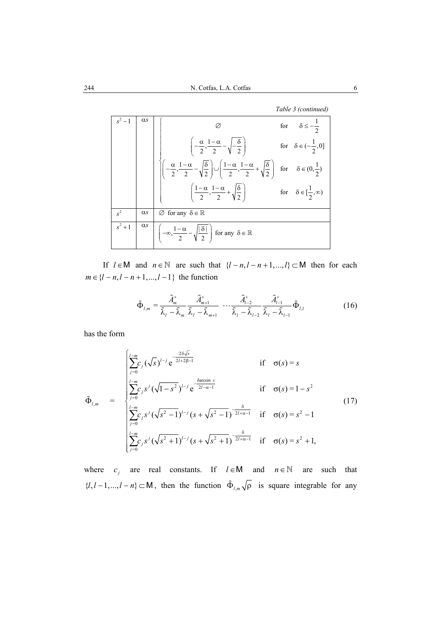*Table 3 (continued)* 

|           | $\alpha s$ |                                                                                                                                                                                                            | for $\delta \leq -\frac{1}{\epsilon}$ |
|-----------|------------|------------------------------------------------------------------------------------------------------------------------------------------------------------------------------------------------------------|---------------------------------------|
|           |            | $\left(\frac{\alpha}{2}, \frac{1-\alpha}{2} - \sqrt{-\frac{\delta}{2}}\right)$                                                                                                                             | for $\delta \in (-\frac{1}{2}, 0]$    |
|           |            | $\sqrt{\left(-\frac{\alpha}{2}, \frac{1-\alpha}{2} - \sqrt{\frac{\delta}{2}}\right)} \cup \left(\frac{1-\alpha}{2}, \frac{1-\alpha}{2} + \sqrt{\frac{\delta}{2}}\right)$ for $\delta \in (0, \frac{1}{2})$ |                                       |
|           |            | for $\delta \in [\frac{1-\alpha}{2}, \frac{1-\alpha}{2} + \sqrt{\frac{\delta}{2}}]$ for $\delta \in [\frac{1}{2}, \infty)$                                                                                 |                                       |
| $s^2$     | $\alpha s$ | $\emptyset$ for any $\delta \in \mathbb{R}$                                                                                                                                                                |                                       |
| $s^2 + 1$ | $\alpha s$ | $\alpha s \left  \left( -\infty, \frac{1-\alpha}{2} - \sqrt{\frac{\delta}{2}} \right) \right  \text{ for any } \delta \in \mathbb{R}$                                                                      |                                       |

If  $l \in M$  and  $n \in \mathbb{N}$  are such that  $\{l - n, l - n + 1, ..., l\} \subset M$  then for each  $m \in \{l - n, l - n + 1, ..., l - 1\}$  the function

$$
\tilde{\Phi}_{l,m} = \frac{\tilde{A}_m^+}{\tilde{\lambda}_l - \tilde{\lambda}_m} \frac{\tilde{A}_{m+1}^+}{\tilde{\lambda}_l - \tilde{\lambda}_{m+1}} \cdots \frac{\tilde{A}_{l-2}^+}{\tilde{\lambda}_l - \tilde{\lambda}_{l-2}} \frac{\tilde{A}_{l-1}^+}{\tilde{\lambda}_l - \tilde{\lambda}_{l-1}} \tilde{\Phi}_{l,l}
$$
(16)

has the form

$$
\tilde{\Phi}_{l,m} = \begin{cases}\n\sum_{j=0}^{l-m} c_j (\sqrt{s})^{l-j} e^{\frac{-2\delta\sqrt{s}}{2l+2\beta-l}} & \text{if } \sigma(s) = s \\
\sum_{j=0}^{l-m} c_j s^j (\sqrt{l-s}^2)^{l-j} e^{\frac{\delta \arcsin s}{2l-\alpha-l}} & \text{if } \sigma(s) = 1-s^2 \\
\sum_{j=0}^{l-m} c_j s^j (\sqrt{s^2-1})^{l-j} (s + \sqrt{s^2-1})^{\frac{\delta}{2l+\alpha-l}} & \text{if } \sigma(s) = s^2 - 1 \\
\sum_{j=0}^{l-m} c_j s^j (\sqrt{s^2+1})^{l-j} (s + \sqrt{s^2+1})^{\frac{\delta}{2l+\alpha-l}} & \text{if } \sigma(s) = s^2 + 1,\n\end{cases}
$$
\n(17)

where  $c_j$  are real constants. If  $l \in M$  and  $n \in \mathbb{N}$  are such that  $\{l, l-1, ..., l-n\} \subset M$ , then the function  $\tilde{\Phi}_{l,m} \sqrt{\rho}$  is square integrable for any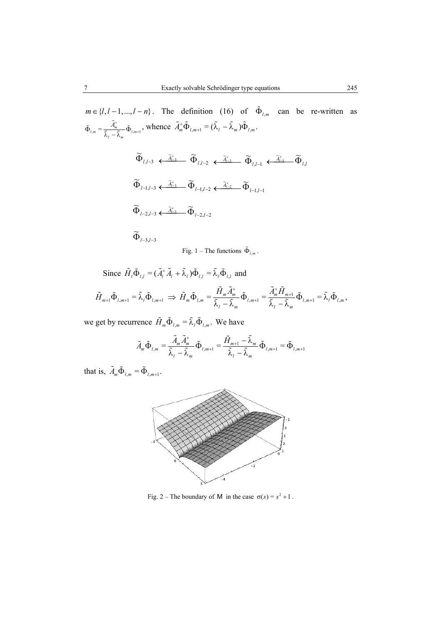$$
m \in \{l, l-1, ..., l-n\}.
$$
 The definition (16) of  $\tilde{\Phi}_{l,m}$  can be re-written as  

$$
\tilde{\Phi}_{l,m} = \frac{\tilde{A}_m^+}{\tilde{\lambda}_l - \tilde{\lambda}_m} \tilde{\Phi}_{l,m+1},
$$
 whence  $\tilde{A}_m^+ \tilde{\Phi}_{l,m+1} = (\tilde{\lambda}_l - \tilde{\lambda}_m) \tilde{\Phi}_{l,m}.$ 

 $\mu$ ,*l*-3  $\leftarrow$   $\widetilde{\Phi}_{l,l-2}$   $\leftarrow$   $\widetilde{A}_{l-2}^+$   $\leftarrow$   $\widetilde{\Phi}_{l,l-1}$   $\leftarrow$   $\widetilde{A}_{l-1}^+$   $\leftarrow$   $\widetilde{\Phi}_{l,l}$  $l$  –1, $l$ –3  $\longleftrightarrow$   $\Phi_{l-1,l-2}$   $\longleftrightarrow$   $\widetilde{A}_{l-2}^+$   $\longrightarrow$   $\widetilde{\Phi}_{l-1,l-1}$  $l$  –2, $l$  –3  $\leftarrow$   $\tilde{A}_{l-3}^+$   $\tilde{\Phi}_{l-2,l-2}$  $l - 3, l - 3$ ~  $, l-1$ ~ ~  $-1, l-2$  $, l - 2$ ~ ~ ~  $\widetilde{\Phi}_{l-2, l-3} \leftarrow \widetilde{A}^+_{l-3} \quad \widetilde{\Phi}_{l-2, l-1}$  $\widetilde{\Phi}_{l-1,l-3} \xleftarrow{\widetilde{A}_{l-3}^+} \widetilde{\Phi}_{l-l,l-2} \xleftarrow{\widetilde{A}_{l-2}^+} \widetilde{\Phi}_{l-1,l-2}$  $\widetilde{\Phi}_{l,l-3} \stackrel{\widetilde{A}_{l-3}^+}{\longleftarrow} \widetilde{\Phi}_{l,l-2} \stackrel{\widetilde{A}_{l-2}^+}{\longleftarrow} \widetilde{\Phi}_{l,l-1} \stackrel{\widetilde{A}_{l-1}^+}{\longleftarrow} \widetilde{\Phi}_{}}$  $\widetilde{\Phi}_{l-3,l-1}$ 

Fig. 1 – The functions  $\tilde{\Phi}_{l,m}$ .

Since  $\tilde{H}_l \tilde{\Phi}_{l,l} = (\tilde{A}_l^* \tilde{A}_l + \tilde{\lambda}_l) \tilde{\Phi}_{l,l} = \tilde{\lambda}_l \tilde{\Phi}_{l,l}$  and

$$
\tilde{H}_{m+1}\tilde{\Phi}_{l,m+1} = \tilde{\lambda}_l \tilde{\Phi}_{l,m+1} \implies \tilde{H}_m \tilde{\Phi}_{l,m} = \frac{\tilde{H}_m \tilde{A}_m^+}{\tilde{\lambda}_l - \tilde{\lambda}_m} \tilde{\Phi}_{l,m+1} = \frac{\tilde{A}_m^+ \tilde{H}_{m+1}}{\tilde{\lambda}_l - \tilde{\lambda}_m} \tilde{\Phi}_{l,m+1} = \tilde{\lambda}_l \tilde{\Phi}_{l,m},
$$

we get by recurrence  $\tilde{H}_m \tilde{\Phi}_{l,m} = \tilde{\lambda}_l \tilde{\Phi}_{l,m}$ . We have

$$
\tilde{A}_{m}\tilde{\Phi}_{l,m} = \frac{\tilde{A}_{m}\tilde{A}_{m}^{+}}{\tilde{\lambda}_{l}-\tilde{\lambda}_{m}}\tilde{\Phi}_{l,m+1} = \frac{\tilde{H}_{m+1}-\tilde{\lambda}_{m}}{\tilde{\lambda}_{l}-\tilde{\lambda}_{m}}\tilde{\Phi}_{l,m+1} = \tilde{\Phi}_{l,m+1}
$$

that is,  $\tilde{A}_m \tilde{\Phi}_{l,m} = \tilde{\Phi}_{l,m+1}$ .



Fig. 2 – The boundary of M in the case  $\sigma(s) = s^2 + 1$ .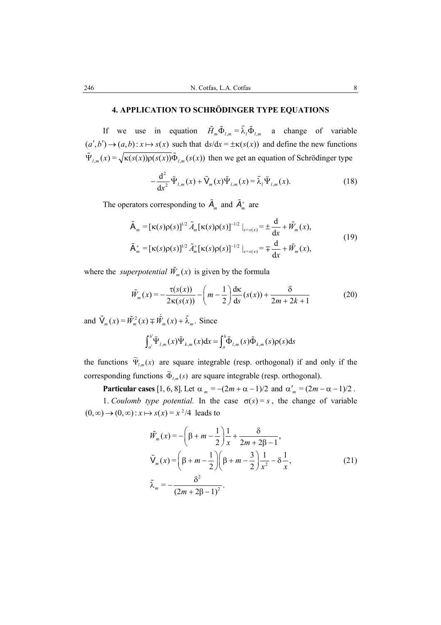## **4. APPLICATION TO SCHRÖDINGER TYPE EQUATIONS**

If we use in equation  $\tilde{H}_m \tilde{\Phi}_{l,m} = \tilde{\lambda}_l \tilde{\Phi}_{l,m}$  a change of variable  $(a', b') \rightarrow (a, b)$ :  $x \mapsto s(x)$  such that  $ds/dx = \pm \kappa(s(x))$  and define the new functions  $\tilde{\Psi}_{l,m}(x) = \sqrt{\kappa(s(x))\rho(s(x))}\tilde{\Phi}_{l,m}(s(x))$  then we get an equation of Schrödinger type

$$
-\frac{\mathrm{d}^2}{\mathrm{d}x^2}\tilde{\Psi}_{l,m}(x)+\tilde{\mathsf{V}}_m(x)\tilde{\Psi}_{l,m}(x)=\tilde{\lambda}_l\tilde{\Psi}_{l,m}(x).
$$
 (18)

The operators corresponding to  $\tilde{A}_m$  and  $\tilde{A}_m^+$  are

$$
\tilde{\mathsf{A}}_{m} = [\kappa(s)\rho(s)]^{1/2} \tilde{A}_{m} [\kappa(s)\rho(s)]^{-1/2} \big|_{s=s(x)} = \pm \frac{d}{dx} + \tilde{W}_{m}(x),
$$
\n
$$
\tilde{\mathsf{A}}_{m}^{+} = [\kappa(s)\rho(s)]^{1/2} \tilde{A}_{m}^{+} [\kappa(s)\rho(s)]^{-1/2} \big|_{s=s(x)} = \mp \frac{d}{dx} + \tilde{W}_{m}(x),
$$
\n(19)

where the *superpotential*  $\tilde{W}_m(x)$  is given by the formula

$$
\tilde{W}_m(x) = -\frac{\tau(s(x))}{2\kappa(s(x))} - \left(m - \frac{1}{2}\right)\frac{\mathrm{d}\kappa}{\mathrm{d}s}(s(x)) + \frac{\delta}{2m + 2k + 1} \tag{20}
$$

and  $\tilde{V}_x(x) = \tilde{W}_x^2(x) + \tilde{W}_x(x) + \tilde{\lambda}_x$ . Since

$$
\int_{a'}^{b'} \tilde{\Psi}_{l,m}(x) \tilde{\Psi}_{k,m}(x) dx = \int_{a}^{b} \tilde{\Phi}_{l,m}(s) \tilde{\Phi}_{k,m}(s) \rho(s) ds
$$

the functions  $\widetilde{\Psi}_{l,m}(x)$  are square integrable (resp. orthogonal) if and only if the corresponding functions  $\tilde{\Phi}_{l,m}(s)$  are square integrable (resp. orthogonal).

**Particular cases** [1, 6, 8]. Let  $\alpha_m = -(2m + \alpha - 1)/2$  and  $\alpha'_m = (2m - \alpha - 1)/2$ .

1. *Coulomb type potential.* In the case  $\sigma(s) = s$ , the change of variable  $(0, \infty) \rightarrow (0, \infty) : x \mapsto s(x) = x^2/4$  leads to

$$
\tilde{W}_m(x) = -\left(\beta + m - \frac{1}{2}\right) \frac{1}{x} + \frac{\delta}{2m + 2\beta - 1},
$$
\n
$$
\tilde{V}_m(x) = \left(\beta + m - \frac{1}{2}\right) \left(\beta + m - \frac{3}{2}\right) \frac{1}{x^2} - \delta \frac{1}{x},
$$
\n
$$
\tilde{\lambda}_m = -\frac{\delta^2}{(2m + 2\beta - 1)^2}.
$$
\n(21)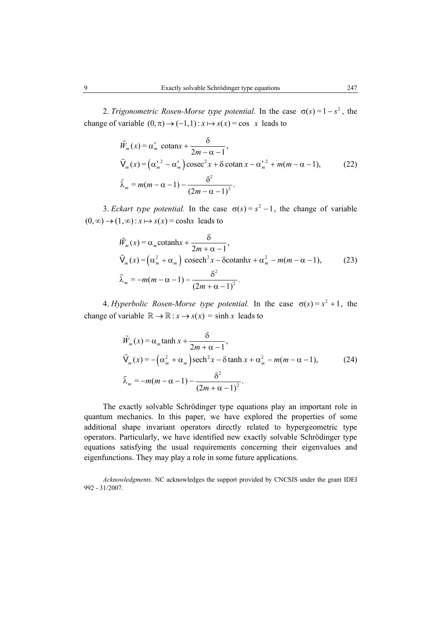2. *Trigonometric Rosen-Morse type potential.* In the case  $\sigma(s) = 1 - s^2$ , the change of variable  $(0, \pi) \rightarrow (-1,1) : x \mapsto s(x) = \cos x$  leads to

$$
\tilde{W}_m(x) = \alpha'_m \cot \alpha x + \frac{\delta}{2m - \alpha - 1},
$$
\n
$$
\tilde{V}_m(x) = (\alpha'_m^2 - \alpha'_m) \csc^2 x + \delta \cot \alpha x - \alpha'_m^2 + m(m - \alpha - 1),
$$
\n
$$
\tilde{\lambda}_m = m(m - \alpha - 1) - \frac{\delta^2}{(2m - \alpha - 1)^2}.
$$
\n(22)

3. *Eckart type potential*. In the case  $\sigma(s) = s^2 - 1$ , the change of variable  $(0, \infty) \rightarrow (1, \infty)$ :  $x \mapsto s(x) = \cosh x$  leads to

$$
\tilde{W}_m(x) = \alpha_m \text{cotanh}x + \frac{\delta}{2m + \alpha - 1},
$$
\n
$$
\tilde{V}_m(x) = (\alpha_m^2 + \alpha_m) \text{ cosech}^2 x - \delta \text{cotanh}x + \alpha_m^2 - m(m - \alpha - 1),
$$
\n
$$
\tilde{\lambda}_m = -m(m - \alpha - 1) - \frac{\delta^2}{(2m + \alpha - 1)^2}.
$$
\n(23)

4. *Hyperbolic Rosen-Morse type potential*. In the case  $\sigma(s) = s^2 + 1$ , the change of variable  $\mathbb{R} \to \mathbb{R} : x \to s(x) = \sinh x$  leads to

$$
\tilde{W}_m(x) = \alpha_m \tanh x + \frac{\delta}{2m + \alpha - 1},
$$
\n
$$
\tilde{V}_m(x) = -(\alpha_m^2 + \alpha_m) \operatorname{sech}^2 x - \delta \tanh x + \alpha_m^2 - m(m - \alpha - 1),
$$
\n
$$
\tilde{\lambda}_m = -m(m - \alpha - 1) - \frac{\delta^2}{(2m + \alpha - 1)^2}.
$$
\n(24)

The exactly solvable Schrödinger type equations play an important role in quantum mechanics. In this paper, we have explored the properties of some additional shape invariant operators directly related to hypergeometric type operators. Particularly, we have identified new exactly solvable Schrödinger type equations satisfying the usual requirements concerning their eigenvalues and eigenfunctions. They may play a role in some future applications.

*Acknowledgments*. NC acknowledges the support provided by CNCSIS under the grant IDEI 992 - 31/2007.